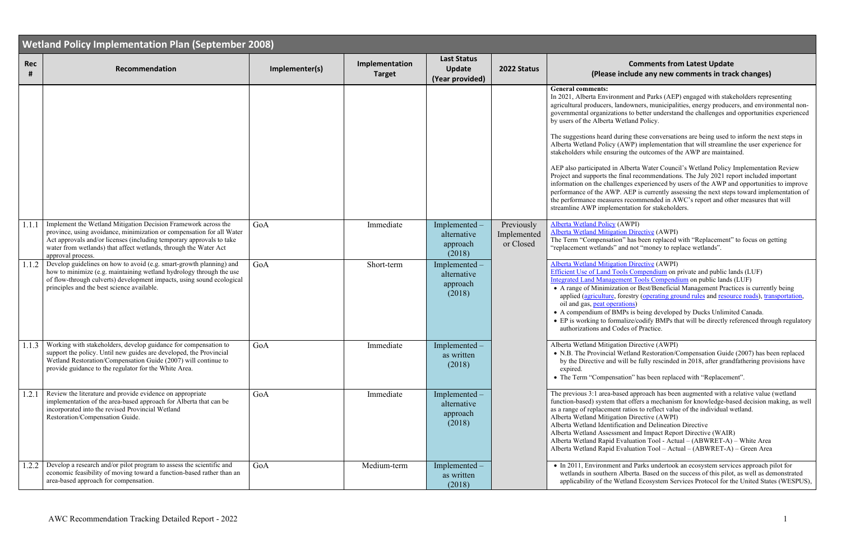## **<sup>2022</sup> Status Comments from Latest Update (Please include any new comments in track changes)**

In 2021, In 2021, American Engineerating in the Saragaed with stakeholders representing andowners, municipalities, energy producers, and environmental nonons to better understand the challenges and opportunities experienced /etland Policy.

uring these conversations are being used to inform the next steps in (AWP) implementation that will streamline the user experience for ing the outcomes of the AWP are maintained.

Alberta Water Council's Wetland Policy Implementation Review final recommendations. The July 2021 report included important enges experienced by users of the AWP and opportunities to improve . AEP is currently assessing the next steps toward implementation of es recommended in AWC's report and other measures that will entation for stakeholders.

AWPI) ion Directive (AWPI)

n" has been replaced with "Replacement" to focus on getting and not "money to replace wetlands".

ion Directive (AWPI) **Pools Compendium** on private and public lands (LUF) ment Tools Compendium on public lands (LUF) tion or Best/Beneficial Management Practices is currently being forestry [\(operating ground rules](http://www.agric.gov.ab.ca/app21/forestrypage?cat1=Forest%20Management&cat2=Forest%20Management%20Manuals%20%26%20Guidelines) an[d resource roads\)](https://fpinnovations.ca/ResearchProgram/forest-operations/resource-roads/Pages/guide-for-planning-construction-and-maintenance.aspx), [transportation,](http://www.transportation.alberta.ca/5819.htm) ations) APs is being developed by Ducks Unlimited Canada. relative/codify BMPs that will be directly referenced through regulatory des of Practice.

ion Directive (AWPI)

Wetland Restoration/Compensation Guide (2007) has been replaced will be fully rescinded in 2018, after grandfathering provisions have

ation" has been replaced with "Replacement".

sed approach has been augmented with a relative value (wetland hat offers a mechanism for knowledge-based decision making, as well t ratios to reflect value of the individual wetland. ion Directive (AWPI)

cation and Delineation Directive

hent and Impact Report Directive (WAIR)

Evaluation Tool - Actual –  $(ABWRET-A)$  – White Area

Evaluation  $Tool - Actual - (ABWRET-A) - Green Area$ 

and Parks undertook an ecosystem services approach pilot for Alberta. Based on the success of this pilot, as well as demonstrated Vetland Ecosystem Services Protocol for the United States (WESPUS),

|                 | <b>Wetland Policy Implementation Plan (September 2008)</b>                                                                                                                                                                                                                                               |                |                                 |                                                        |                                        |                                                                                                                                                                                                                                                                                                                                                                                                          |  |  |
|-----------------|----------------------------------------------------------------------------------------------------------------------------------------------------------------------------------------------------------------------------------------------------------------------------------------------------------|----------------|---------------------------------|--------------------------------------------------------|----------------------------------------|----------------------------------------------------------------------------------------------------------------------------------------------------------------------------------------------------------------------------------------------------------------------------------------------------------------------------------------------------------------------------------------------------------|--|--|
| <b>Rec</b><br># | Recommendation                                                                                                                                                                                                                                                                                           | Implementer(s) | Implementation<br><b>Target</b> | <b>Last Status</b><br><b>Update</b><br>(Year provided) | 2022 Status                            | (Please i                                                                                                                                                                                                                                                                                                                                                                                                |  |  |
|                 |                                                                                                                                                                                                                                                                                                          |                |                                 |                                                        |                                        | <b>General comments:</b><br>In 2021, Alberta Environ<br>agricultural producers, lar<br>governmental organizatio<br>by users of the Alberta W<br>The suggestions heard du<br>Alberta Wetland Policy (<br>stakeholders while ensuri<br>AEP also participated in.<br>Project and supports the f<br>information on the challe<br>performance of the AWP<br>the performance measure<br>streamline AWP impleme |  |  |
| 1.1.1           | Implement the Wetland Mitigation Decision Framework across the<br>province, using avoidance, minimization or compensation for all Water<br>Act approvals and/or licenses (including temporary approvals to take<br>water from wetlands) that affect wetlands, through the Water Act<br>approval process. | GoA            | Immediate                       | Implemented-<br>alternative<br>approach<br>(2018)      | Previously<br>Implemented<br>or Closed | Alberta Wetland Policy (<br>Alberta Wetland Mitigati<br>The Term "Compensation<br>"replacement wetlands" a                                                                                                                                                                                                                                                                                               |  |  |
| 1.1.2           | Develop guidelines on how to avoid (e.g. smart-growth planning) and<br>how to minimize (e.g. maintaining wetland hydrology through the use<br>of flow-through culverts) development impacts, using sound ecological<br>principles and the best science available.                                        | GoA            | Short-term                      | Implemented -<br>alternative<br>approach<br>(2018)     |                                        | <b>Alberta Wetland Mitigati</b><br>Efficient Use of Land To<br><b>Integrated Land Manager</b><br>• A range of Minimizat<br>applied (agriculture, f<br>oil and gas, peat opera<br>• A compendium of BM<br>• EP is working to form<br>authorizations and Co                                                                                                                                                |  |  |
|                 | 1.1.3 Working with stakeholders, develop guidance for compensation to<br>support the policy. Until new guides are developed, the Provincial<br>Wetland Restoration/Compensation Guide (2007) will continue to<br>provide guidance to the regulator for the White Area.                                   | GoA            | Immediate                       | Implemented<br>as written<br>(2018)                    |                                        | Alberta Wetland Mitigati<br>• N.B. The Provincial V<br>by the Directive and v<br>expired.<br>• The Term "Compensa                                                                                                                                                                                                                                                                                        |  |  |
| 1.2.1           | Review the literature and provide evidence on appropriate<br>implementation of the area-based approach for Alberta that can be<br>incorporated into the revised Provincial Wetland<br>Restoration/Compensation Guide.                                                                                    | GoA            | Immediate                       | Implemented -<br>alternative<br>approach<br>(2018)     |                                        | The previous 3:1 area-bas<br>function-based) system th<br>as a range of replacement<br>Alberta Wetland Mitigati<br>Alberta Wetland Identific<br>Alberta Wetland Assessm<br>Alberta Wetland Rapid E<br>Alberta Wetland Rapid E                                                                                                                                                                            |  |  |
| 1.2.2           | Develop a research and/or pilot program to assess the scientific and<br>economic feasibility of moving toward a function-based rather than an<br>area-based approach for compensation.                                                                                                                   | GoA            | Medium-term                     | Implemented -<br>as written<br>(2018)                  |                                        | $\bullet$ In 2011, Environment<br>wetlands in southern /<br>applicability of the W                                                                                                                                                                                                                                                                                                                       |  |  |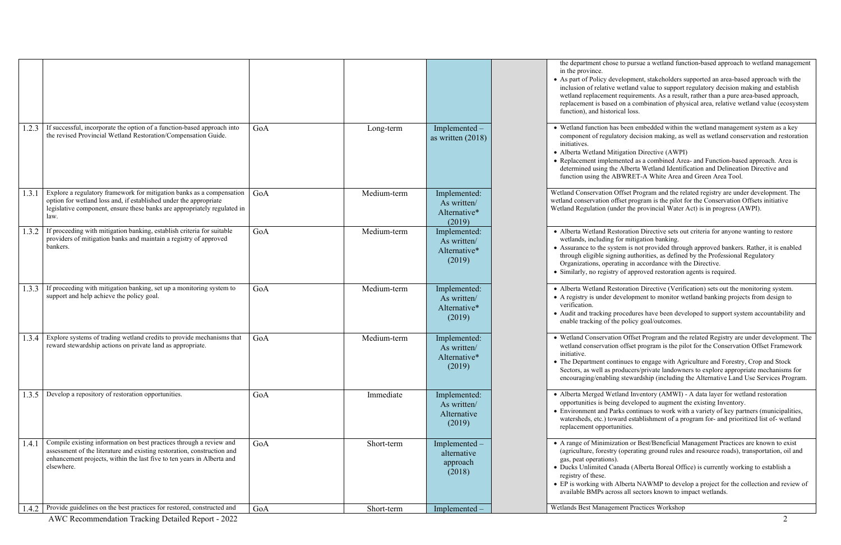• As part of Policy development, stakeholders supported an area -based approach with the wetland value to support regulatory decision making and establish wetland replacement requirements. As a result, rather than a pure area -based approach, I on a combination of physical area, relative wetland value (ecosystem ical loss.

> s been embedded within the wetland management system as a key tory decision making, as well as wetland conservation and restoration

tigation Directive (AWPI)

the department chose to pursue a wetland function -based approach to wetland management

• Replacement implemented as a combined Area - and Function -based approach. Area is e Alberta Wetland Identification and Delineation Directive and function using the ABWRET -A White Area and Green Area Tool.

> Offset Program and the related registry are under development. The ffset program is the pilot for the Conservation Offsets initiative der the provincial Water Act) is in progress (AWPI).

storation Directive sets out criteria for anyone wanting to restore for mitigation banking.

tem is not provided through approved bankers. Rather, it is enabled the signing authorities, as defined by the Professional Regulatory ating in accordance with the Directive.

y of approved restoration agents is required.

storation Directive (Verification) sets out the monitoring system. evelopment to monitor wetland banking projects from design to

rocedures have been developed to support system accountability and e policy goal/outcomes.

on Offset Program and the related Registry are under development. The n offset program is the pilot for the Conservation Offset Framework

tinues to engage with Agriculture and Forestry, Crop and Stock roducers/private landowners to explore appropriate mechanisms for g stewardship (including the Alternative Land Use Services Program.

• Alberta Merged Wetland Inventory (AMWI) - A data layer for wetland restoration g developed to augment the existing Inventory.

rks continues to work with a variety of key partners (municipalities, watersheds, etc.) toward establishment of a program for - and prioritized list of- wetland nities.

> ation or Best/Beneficial Management Practices are known to exist  $\alpha$  (operating ground rules and resource roads), transportation, oil and

nada (Alberta Boreal Office) is currently working to establish a

Alberta NAWMP to develop a project for the collection and review of be all sectors known to impact wetlands.

ment Practices Workshop

|       |                                                                                                                                                                                                                                        |     |             |                                                       | the department chose<br>in the province.<br>• As part of Policy dev<br>inclusion of relative<br>wetland replacement<br>replacement is based<br>function), and histori                |
|-------|----------------------------------------------------------------------------------------------------------------------------------------------------------------------------------------------------------------------------------------|-----|-------------|-------------------------------------------------------|--------------------------------------------------------------------------------------------------------------------------------------------------------------------------------------|
| 1.2.3 | If successful, incorporate the option of a function-based approach into<br>the revised Provincial Wetland Restoration/Compensation Guide.                                                                                              | GoA | Long-term   | Implemented -<br>as written $(2018)$                  | • Wetland function has<br>component of regulat<br>initiatives.<br>· Alberta Wetland Mit<br>• Replacement implem<br>determined using the<br>function using the Al                     |
| 1.3.1 | Explore a regulatory framework for mitigation banks as a compensation<br>option for wetland loss and, if established under the appropriate<br>legislative component, ensure these banks are appropriately regulated in<br>law.         | GoA | Medium-term | Implemented:<br>As written/<br>Alternative*<br>(2019) | Wetland Conservation C<br>wetland conservation of<br>Wetland Regulation (und                                                                                                         |
| 1.3.2 | If proceeding with mitigation banking, establish criteria for suitable<br>providers of mitigation banks and maintain a registry of approved<br>bankers.                                                                                | GoA | Medium-term | Implemented:<br>As written/<br>Alternative*<br>(2019) | • Alberta Wetland Res<br>wetlands, including f<br>• Assurance to the syst<br>through eligible signi<br>Organizations, opera<br>· Similarly, no registry                              |
| 1.3.3 | If proceeding with mitigation banking, set up a monitoring system to<br>support and help achieve the policy goal.                                                                                                                      | GoA | Medium-term | Implemented:<br>As written/<br>Alternative*<br>(2019) | · Alberta Wetland Rest<br>• A registry is under de<br>verification.<br>· Audit and tracking pr<br>enable tracking of the                                                             |
| 1.3.4 | Explore systems of trading wetland credits to provide mechanisms that<br>reward stewardship actions on private land as appropriate.                                                                                                    | GoA | Medium-term | Implemented:<br>As written/<br>Alternative*<br>(2019) | · Wetland Conservatio<br>wetland conservation<br>initiative.<br>• The Department cont<br>Sectors, as well as pr<br>encouraging/enabling                                              |
| 1.3.5 | Develop a repository of restoration opportunities.                                                                                                                                                                                     | GoA | Immediate   | Implemented:<br>As written/<br>Alternative<br>(2019)  | · Alberta Merged Wetl<br>opportunities is being<br>• Environment and Par<br>watersheds, etc.) tow<br>replacement opportui                                                            |
| 1.4.1 | Compile existing information on best practices through a review and<br>assessment of the literature and existing restoration, construction and<br>enhancement projects, within the last five to ten years in Alberta and<br>elsewhere. | GoA | Short-term  | Implemented -<br>alternative<br>approach<br>(2018)    | • A range of Minimiza<br>(agriculture, forestry<br>gas, peat operations).<br>· Ducks Unlimited Car<br>registry of these.<br>$\bullet$ EP is working with $A$<br>available BMPs acros |
| 1.4.2 | Provide guidelines on the best practices for restored, constructed and                                                                                                                                                                 | GoA | Short-term  | Implemented -                                         | Wetlands Best Managen                                                                                                                                                                |

AWC Recommendation Tracking Detailed Report - 2022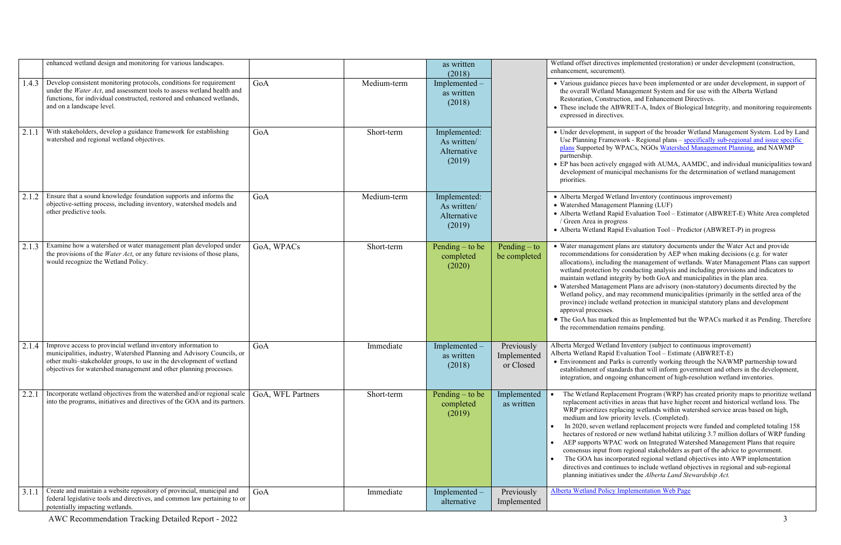|       | enhanced wetland design and monitoring for various landscapes.                                                                                                                                                                                                                       |                   |             | as written<br>(2018)                                 |                                        | Wetland offset directive<br>enhancement, securemen                                                                                                                                                                                                                                            |
|-------|--------------------------------------------------------------------------------------------------------------------------------------------------------------------------------------------------------------------------------------------------------------------------------------|-------------------|-------------|------------------------------------------------------|----------------------------------------|-----------------------------------------------------------------------------------------------------------------------------------------------------------------------------------------------------------------------------------------------------------------------------------------------|
| 1.4.3 | Develop consistent monitoring protocols, conditions for requirement<br>under the Water Act, and assessment tools to assess wetland health and<br>functions, for individual constructed, restored and enhanced wetlands,<br>and on a landscape level.                                 | GoA               | Medium-term | Implemented<br>as written<br>(2018)                  |                                        | · Various guidance pie<br>the overall Wetland I<br>Restoration, Construe<br>• These include the AI<br>expressed in directiv                                                                                                                                                                   |
| 2.1.1 | With stakeholders, develop a guidance framework for establishing<br>watershed and regional wetland objectives.                                                                                                                                                                       | GoA               | Short-term  | Implemented:<br>As written/<br>Alternative<br>(2019) |                                        | • Under development,<br>Use Planning Framey<br>plans Supported by V<br>partnership.<br>• EP has been actively<br>development of mun<br>priorities.                                                                                                                                            |
| 2.1.2 | Ensure that a sound knowledge foundation supports and informs the<br>objective-setting process, including inventory, watershed models and<br>other predictive tools.                                                                                                                 | GoA               | Medium-term | Implemented:<br>As written/<br>Alternative<br>(2019) |                                        | · Alberta Merged Wet<br>• Watershed Managem<br>• Alberta Wetland Rap<br>/ Green Area in prog<br>• Alberta Wetland Rap                                                                                                                                                                         |
| 2.1.3 | Examine how a watershed or water management plan developed under<br>the provisions of the Water Act, or any future revisions of those plans,<br>would recognize the Wetland Policy.                                                                                                  | GoA, WPACs        | Short-term  | Pending $-$ to be<br>completed<br>(2020)             | Pending $-$ to<br>be completed         | • Water management p<br>recommendations for<br>allocations), includin<br>wetland protection by<br>maintain wetland inte<br>· Watershed Managem<br>Wetland policy, and<br>province) include we<br>approval processes.<br>• The GoA has marked<br>the recommendation                            |
| 2.1.4 | Improve access to provincial wetland inventory information to<br>municipalities, industry, Watershed Planning and Advisory Councils, or<br>other multi-stakeholder groups, to use in the development of wetland<br>objectives for watershed management and other planning processes. | GoA               | Immediate   | Implemented -<br>as written<br>(2018)                | Previously<br>Implemented<br>or Closed | Alberta Merged Wetland<br>Alberta Wetland Rapid l<br>• Environment and Par<br>establishment of stan<br>integration, and ongo                                                                                                                                                                  |
| 2.2.1 | Incorporate wetland objectives from the watershed and/or regional scale<br>into the programs, initiatives and directives of the GOA and its partners.                                                                                                                                | GoA, WFL Partners | Short-term  | Pending $-$ to be<br>completed<br>(2019)             | Implemented<br>as written              | The Wetland Replac<br>replacement activiti<br>WRP prioritizes rep<br>medium and low pr<br>In 2020, seven wet<br>$\bullet$<br>hectares of restored<br>AEP supports WPA<br>$\bullet$<br>consensus input from<br>The GOA has incor<br>$\bullet$<br>directives and conti:<br>planning initiatives |
| 3.1.1 | Create and maintain a website repository of provincial, municipal and<br>federal legislative tools and directives, and common law pertaining to or<br>potentially impacting wetlands.                                                                                                | GoA               | Immediate   | Implemented –<br>alternative                         | Previously<br>Implemented              | <b>Alberta Wetland Policy</b>                                                                                                                                                                                                                                                                 |

es implemented (restoration) or under development (construction,  $ent$ ).

eces have been implemented or are under development, in support of Management System and for use with the Alberta Wetland retion, and Enhancement Directives.

BWRET-A, Index of Biological Integrity, and monitoring requirements es.

in support of the broader Wetland Management System. Led by Land work - Regional plans – specifically sub-regional and issue specific WPACs, NGOs [Watershed Management Planning,](http://aep.alberta.ca/water/programs-and-services/water-for-life/partnerships/watershed-planning-and-advisory-councils/watershed-management-planning.aspx) and NAWMP

engaged with AUMA, AAMDC, and individual municipalities toward development incided mechanisms for the determination of wetland management

tland Inventory (continuous improvement) nent Planning (LUF)

pid Evaluation Tool – Estimator (ABWRET-E) White Area completed ress<sup>1</sup>

pid Evaluation Tool – Predictor (ABWRET-P) in progress

plans are statutory documents under the Water Act and provide r consideration by AEP when making decisions (e.g. for water allocations), including the management plans can support y conducting analysis and including provisions and indicators to egrity by both GoA and municipalities in the plan area.

nent Plans are advisory (non-statutory) documents directed by the may recommend municipalities (primarily in the settled area of the etland protection in municipal statutory plans and development

d this as Implemented but the WPACs marked it as Pending. Therefore the remains pending.

d Inventory (subject to continuous improvement) Evaluation Tool – Estimate (ABWRET-E)

rks is currently working through the NAWMP partnership toward dards that will inform government and others in the development, oing enhancement of high-resolution wetland inventories.

efferent Program (WRP) has created priority maps to prioritize wetland ies in areas that have higher recent and historical wetland loss. The placing wetlands within watershed service areas based on high, iority levels. (Completed).

tland replacement projects were funded and completed totaling 158 l or new wetland habitat utilizing 3.7 million dollars of WRP funding AC work on Integrated Watershed Management Plans that require m regional stakeholders as part of the advice to government. rporated regional wetland objectives into AWP implementation inues to include wetland objectives in regional and sub-regional under the *Alberta Land Stewardship Act*.

**Implementation Web Page**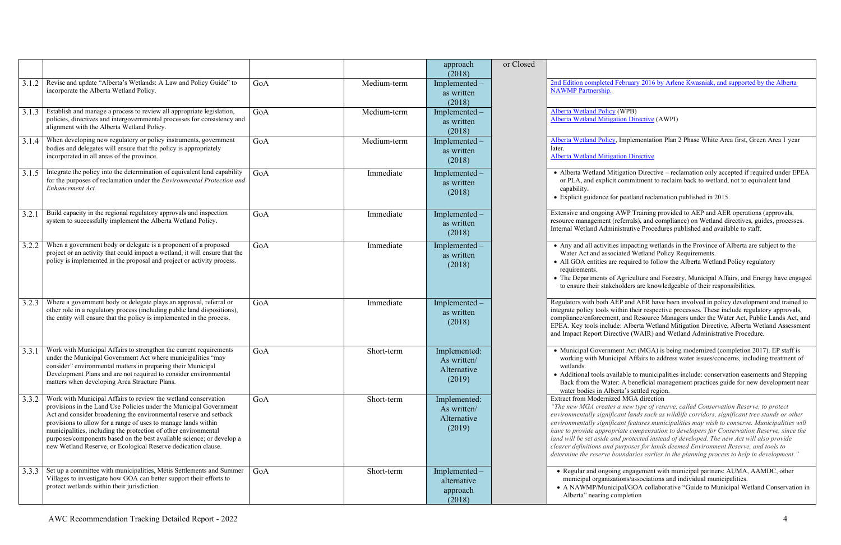• Alberta Wetland Mitigation Directive – reclamation only accepted if required under EPEA it commitment to reclaim back to wetland, not to equivalent land

or peatland reclamation published in 2015.

AWP Training provided to AEP and AER operations (approvals, (referrals), and compliance) on Wetland directives, guides, processes. inistrative Procedures published and available to staff.

es impacting wetlands in the Province of Alberta are subject to the ociated Wetland Policy Requirements. re required to follow the Alberta Wetland Policy regulatory

f Agriculture and Forestry, Municipal Affairs, and Energy have engaged to ensure their stakeholders are knowledgeable of their responsibilities .

Regulators AER have been involved in policy development and trained to vithin their respective processes. These include regulatory approvals, ent, and Resource Managers under the Water Act, Public Lands Act, and de: Alberta Wetland Mitigation Directive, Alberta Wetland Assessment and Impact Report Directive (WAIR) and Wetland Administrative Procedure .

> nent Act (MGA) is being modernized (completion 2017). EP staff is icipal Affairs to address water issues/concerns, including treatment of

ailable to municipalities include: conservation easements and Stepping er: A beneficial management practices guide for new development near

## zed MGA direction

*"The new MGA creates a new type of reserve, called Conservation Reserve, to protect icant lands such as wildlife corridors, significant tree stands or other environmentally significant features municipalities may wish to conserve. Municipalities will briate compensation to developers for Conservation Reserve, since the land will be set aside and protected instead of developed. The new Act will also provide clearer definitions and purposes for lands deemed Environment Reserve, and tools to*  boundaries earlier in the planning process to help in development."

ing engagement with municipal partners: AUMA, AAMDC, other ations/associations and individual municipalities. cipal/GOA collaborative "Guide to Municipal Wetland Conservation in completion

|       |                                                                                                                                                                                                                                                                                                                                                                                                                                                                                          |     |             | approach<br>(2018)                                   | or Closed |                                                                                                                                                                                                                                                                                                                                                                                |
|-------|------------------------------------------------------------------------------------------------------------------------------------------------------------------------------------------------------------------------------------------------------------------------------------------------------------------------------------------------------------------------------------------------------------------------------------------------------------------------------------------|-----|-------------|------------------------------------------------------|-----------|--------------------------------------------------------------------------------------------------------------------------------------------------------------------------------------------------------------------------------------------------------------------------------------------------------------------------------------------------------------------------------|
| 3.1.2 | Revise and update "Alberta's Wetlands: A Law and Policy Guide" to<br>incorporate the Alberta Wetland Policy.                                                                                                                                                                                                                                                                                                                                                                             | GoA | Medium-term | Implemented-<br>as written<br>(2018)                 |           | 2nd Edition completed February 2016 by A<br><b>NAWMP</b> Partnership.                                                                                                                                                                                                                                                                                                          |
| 3.1.3 | Establish and manage a process to review all appropriate legislation,<br>policies, directives and intergovernmental processes for consistency and<br>alignment with the Alberta Wetland Policy.                                                                                                                                                                                                                                                                                          | GoA | Medium-term | Implemented -<br>as written<br>(2018)                |           |                                                                                                                                                                                                                                                                                                                                                                                |
| 3.1.4 | When developing new regulatory or policy instruments, government<br>bodies and delegates will ensure that the policy is appropriately<br>incorporated in all areas of the province.                                                                                                                                                                                                                                                                                                      | GoA | Medium-term | Implemented -<br>as written<br>(2018)                |           | Alberta Wetland Policy, Implementation Pla<br>later.<br><b>Alberta Wetland Mitigation Directive</b>                                                                                                                                                                                                                                                                            |
| 3.1.5 | Integrate the policy into the determination of equivalent land capability<br>for the purposes of reclamation under the Environmental Protection and<br>Enhancement Act.                                                                                                                                                                                                                                                                                                                  | GoA | Immediate   | Implemented<br>as written<br>(2018)                  |           | • Alberta Wetland Mitigation Directive -<br>or PLA, and explicit commitment to recl<br>capability.<br>• Explicit guidance for peatland reclamation                                                                                                                                                                                                                             |
| 3.2.  | Build capacity in the regional regulatory approvals and inspection<br>system to successfully implement the Alberta Wetland Policy.                                                                                                                                                                                                                                                                                                                                                       | GoA | Immediate   | Implemented -<br>as written<br>(2018)                |           | Extensive and ongoing AWP Training provi<br>resource management (referrals), and compl<br>Internal Wetland Administrative Procedures                                                                                                                                                                                                                                           |
| 3.2.2 | When a government body or delegate is a proponent of a proposed<br>project or an activity that could impact a wetland, it will ensure that the<br>policy is implemented in the proposal and project or activity process.                                                                                                                                                                                                                                                                 | GoA | Immediate   | Implemented -<br>as written<br>(2018)                |           | • Any and all activities impacting wetland<br>Water Act and associated Wetland Polic<br>• All GOA entities are required to follow t<br>requirements.<br>• The Departments of Agriculture and For<br>to ensure their stakeholders are knowled                                                                                                                                   |
| 3.2.3 | Where a government body or delegate plays an approval, referral or<br>other role in a regulatory process (including public land dispositions),<br>the entity will ensure that the policy is implemented in the process.                                                                                                                                                                                                                                                                  | GoA | Immediate   | Implemented -<br>as written<br>(2018)                |           | Regulators with both AEP and AER have be<br>integrate policy tools within their respective<br>compliance/enforcement, and Resource Mar<br>EPEA. Key tools include: Alberta Wetland<br>and Impact Report Directive (WAIR) and W                                                                                                                                                 |
| 3.3.1 | Work with Municipal Affairs to strengthen the current requirements<br>under the Municipal Government Act where municipalities "may<br>consider" environmental matters in preparing their Municipal<br>Development Plans and are not required to consider environmental<br>matters when developing Area Structure Plans.                                                                                                                                                                  | GoA | Short-term  | Implemented:<br>As written/<br>Alternative<br>(2019) |           | • Municipal Government Act (MGA) is be<br>working with Municipal Affairs to addre<br>wetlands.<br>• Additional tools available to municipalit<br>Back from the Water: A beneficial mana<br>water bodies in Alberta's settled region.                                                                                                                                           |
| 3.3.2 | Work with Municipal Affairs to review the wetland conservation<br>provisions in the Land Use Policies under the Municipal Government<br>Act and consider broadening the environmental reserve and setback<br>provisions to allow for a range of uses to manage lands within<br>municipalities, including the protection of other environmental<br>purposes/components based on the best available science; or develop a<br>new Wetland Reserve, or Ecological Reserve dedication clause. | GoA | Short-term  | Implemented:<br>As written/<br>Alternative<br>(2019) |           | Extract from Modernized MGA direction<br>"The new MGA creates a new type of resery<br>environmentally significant lands such as w<br>environmentally significant features municip<br>have to provide appropriate compensation t<br>land will be set aside and protected instead<br>clearer definitions and purposes for lands d<br>determine the reserve boundaries earlier in |
| 3.3.3 | Set up a committee with municipalities, Métis Settlements and Summer<br>Villages to investigate how GOA can better support their efforts to<br>protect wetlands within their jurisdiction.                                                                                                                                                                                                                                                                                               | GoA | Short-term  | Implemented -<br>alternative<br>approach<br>(2018)   |           | • Regular and ongoing engagement with<br>municipal organizations/associations ar<br>· A NAWMP/Municipal/GOA collaboration<br>Alberta" nearing completion                                                                                                                                                                                                                       |

February 2016 by Arlene Kwasniak, and supported by the Alberta

 $\bf v$  (WPB) ation Directive (AWPI)

 $\gamma$ , Implementation Plan 2 Phase White Area first, Green Area 1 year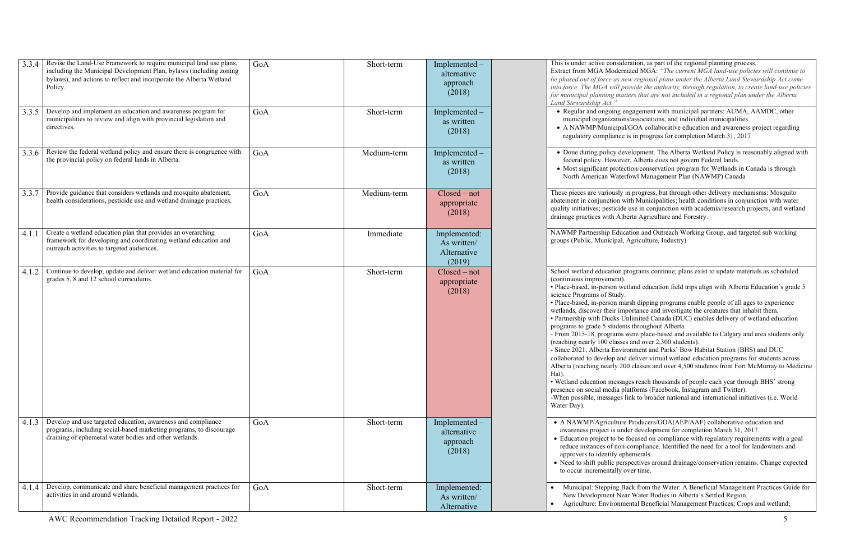ernized MGA: "The current MGA land-use policies will continue to *be phased out of force as new regional plans under the Alberta Land Stewardship Act come l* provide the authority, through regulation, to create land-use policies *for municipal planning matters that are not included in a regional plan under the Alberta* 

engagement with municipal partners: AUMA, AAMDC, other ons/associations, and individual municipalities. pal/GOA collaborative education and awareness project regarding regulator is in progress for completion March 31, 2017

development. The Alberta Wetland Policy is reasonably aligned with ever, Alberta does not govern Federal lands. tection/conservation program for Wetlands in Canada is through terfowl Management Plan (NAWMP) Canada

ly in progress, but through other delivery mechanisms: Mosquito  $\alpha$  with Municipalities; health conditions in conjunction with water ide use in conjunction with academia/research projects, and wetland Iberta Agriculture and Forestry.

lucation and Outreach Working Group, and targeted sub working al, Agriculture, Industry)

programs continue; plans exist to update materials as scheduled

wetland education field trips align with Alberta Education's grade 5

marsh dipping programs enable people of all ages to experience importance and investigate the creatures that inhabit them.

If Unlimited Canada (DUC) enables delivery of wetland education lents throughout Alberta.

ns were place-based and available to Calgary and area students only  $s$ sses and over 2,300 students).

vironment and Parks' Bow Habitat Station (BHS) and DUC

and deliver virtual wetland education programs for students across 200 classes and over 4,500 students from Fort McMurray to Medicine

sages reach thousands of people each year through BHS' strong platforms (Facebook, Instagram and Twitter).

es link to broader national and international initiatives (i.e. World

ure Producers/GOA(AEP/AAF) collaborative education and ander development for completion March 31, 2017.

be focused on compliance with regulatory requirements with a goal -compliance. Identified the need for a tool for landowners and ephemerals.

erspectives around drainage/conservation remains. Change expected over time.

Back from the Water: A Beneficial Management Practices Guide for Near Water Bodies in Alberta's Settled Region. mental Beneficial Management Practices; Crops and wetland;

| 3.3.4 | Revise the Land-Use Framework to require municipal land use plans,<br>including the Municipal Development Plan, bylaws (including zoning<br>bylaws), and actions to reflect and incorporate the Alberta Wetland<br>Policy. | GoA | Short-term  | Implemented -<br>alternative<br>approach<br>(2018)   | This is under active conside<br>Extract from MGA Modern<br>be phased out of force as no<br>into force. The MGA will pi<br>for municipal planning mai<br>Land Stewardship Act."                                                                                                                                                                                                                                                                                                                                          |
|-------|----------------------------------------------------------------------------------------------------------------------------------------------------------------------------------------------------------------------------|-----|-------------|------------------------------------------------------|-------------------------------------------------------------------------------------------------------------------------------------------------------------------------------------------------------------------------------------------------------------------------------------------------------------------------------------------------------------------------------------------------------------------------------------------------------------------------------------------------------------------------|
| 3.3.5 | Develop and implement an education and awareness program for<br>municipalities to review and align with provincial legislation and<br>directives.                                                                          | GoA | Short-term  | Implemented -<br>as written<br>(2018)                | • Regular and ongoing e<br>municipal organization<br>· A NAWMP/Municipal<br>regulatory compliance                                                                                                                                                                                                                                                                                                                                                                                                                       |
| 3.3.6 | Review the federal wetland policy and ensure there is congruence with<br>the provincial policy on federal lands in Alberta.                                                                                                | GoA | Medium-term | Implemented<br>as written<br>(2018)                  | • Done during policy de<br>federal policy. Howeve<br>• Most significant proted<br>North American Water                                                                                                                                                                                                                                                                                                                                                                                                                  |
| 3.3.7 | Provide guidance that considers wetlands and mosquito abatement,<br>health considerations, pesticide use and wetland drainage practices.                                                                                   | GoA | Medium-term | $Closed - not$<br>appropriate<br>(2018)              | These pieces are variously<br>abatement in conjunction w<br>quality initiatives; pesticide<br>drainage practices with Alb                                                                                                                                                                                                                                                                                                                                                                                               |
| 4.1.1 | Create a wetland education plan that provides an overarching<br>framework for developing and coordinating wetland education and<br>outreach activities to targeted audiences.                                              | GoA | Immediate   | Implemented:<br>As written/<br>Alternative<br>(2019) | NAWMP Partnership Educ<br>groups (Public, Municipal,                                                                                                                                                                                                                                                                                                                                                                                                                                                                    |
| 4.1.2 | Continue to develop, update and deliver wetland education material for<br>grades 5, 8 and 12 school curriculums.                                                                                                           | GoA | Short-term  | $Closed - not$<br>appropriate<br>(2018)              | School wetland education p<br>(continuous improvement).<br>· Place-based, in-person we<br>science Programs of Study.<br>· Place-based, in-person ma<br>wetlands, discover their im<br>• Partnership with Ducks U<br>programs to grade 5 studen<br>- From 2015-18, programs<br>(reaching nearly 100 classe<br>- Since 2021, Alberta Envir<br>collaborated to develop and<br>Alberta (reaching nearly 20<br>Hat).<br>· Wetland education messa<br>presence on social media p<br>-When possible, messages 1<br>Water Day). |
| 4.1.3 | Develop and use targeted education, awareness and compliance<br>programs, including social-based marketing programs, to discourage<br>draining of ephemeral water bodies and other wetlands.                               | GoA | Short-term  | Implemented -<br>alternative<br>approach<br>(2018)   | · A NAWMP/Agriculture<br>awareness project is und<br>• Education project to be<br>reduce instances of non-<br>approvers to identify ep<br>• Need to shift public per<br>to occur incrementally o                                                                                                                                                                                                                                                                                                                        |
| 4.1.4 | Develop, communicate and share beneficial management practices for<br>activities in and around wetlands.                                                                                                                   | GoA | Short-term  | Implemented:<br>As written/<br>Alternative           | Municipal: Stepping B<br>New Development Nea<br>Agriculture: Environm                                                                                                                                                                                                                                                                                                                                                                                                                                                   |

## ideration, as part of the regional planning process.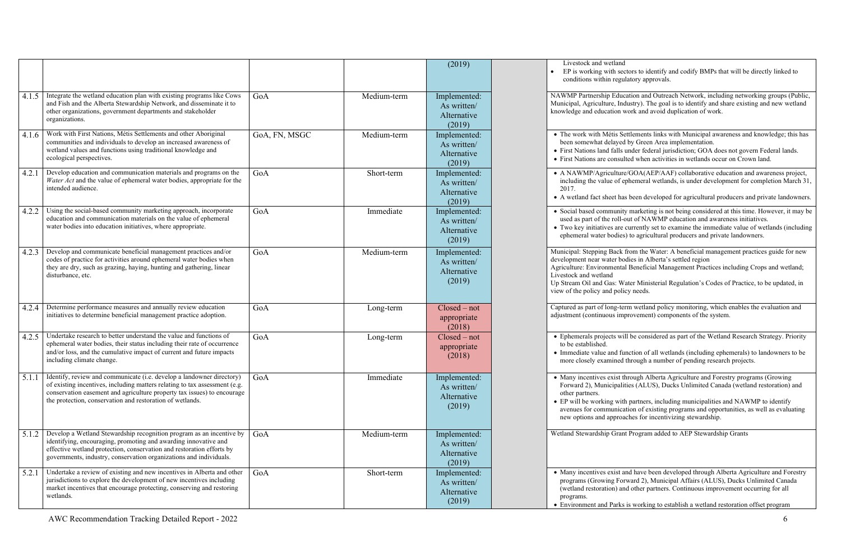unity marketing is not being considered at this time. However, it may be used as part of the roll -out of NAWMP education and awareness initiatives.

are currently set to examine the immediate value of wetlands (including odies) to agricultural producers and private landowners.

Mack from the Water: A beneficial management practices guide for new er bodies in Alberta's settled region

hental Beneficial Management Practices including Crops and wetland;

s: Water Ministerial Regulation's Codes of Practice, to be updated, in policy needs.

-term wetland policy monitoring, which enables the evaluation and is improvement) components of the system.

ts will be considered as part of the Wetland Research Strategy. Priority

red function of all wetlands (including ephemerals) to landowners to be ined through a number of pending research projects.

exist through Alberta Agriculture and Forestry programs (Growing ipalities (ALUS), Ducks Unlimited Canada (wetland restoration) and

with partners, including municipalities and NAWMP to identify inication of existing programs and opportunities, as well as evaluating proaches for incentivizing stewardship.

Grant Program added to AEP Stewardship Grants

ist and have been developed through Alberta Agriculture and Forestry g Forward 2), Municipal Affairs (ALUS), Ducks Unlimited Canada (wetland other partners. Continuous improvement occurring for all

arks is working to establish a wetland restoration offset program

|       |                                                                                                                                                                                                                                                                                             |               |             | (2019)                                               | Livestock and wetla<br>EP is working with<br>conditions within re                                                                                         |
|-------|---------------------------------------------------------------------------------------------------------------------------------------------------------------------------------------------------------------------------------------------------------------------------------------------|---------------|-------------|------------------------------------------------------|-----------------------------------------------------------------------------------------------------------------------------------------------------------|
| 4.1.5 | Integrate the wetland education plan with existing programs like Cows<br>and Fish and the Alberta Stewardship Network, and disseminate it to<br>other organizations, government departments and stakeholder<br>organizations.                                                               | GoA           | Medium-term | Implemented:<br>As written/<br>Alternative<br>(2019) | NAWMP Partnership E<br>Municipal, Agriculture,<br>knowledge and educatio                                                                                  |
| 4.1.6 | Work with First Nations, Métis Settlements and other Aboriginal<br>communities and individuals to develop an increased awareness of<br>wetland values and functions using traditional knowledge and<br>ecological perspectives.                                                             | GoA, FN, MSGC | Medium-term | Implemented:<br>As written/<br>Alternative<br>(2019) | • The work with Métis<br>been somewhat delay<br>• First Nations land fa<br>• First Nations are con                                                        |
| 4.2.1 | Develop education and communication materials and programs on the<br>Water Act and the value of ephemeral water bodies, appropriate for the<br>intended audience.                                                                                                                           | GoA           | Short-term  | Implemented:<br>As written/<br>Alternative<br>(2019) | · A NAWMP/Agricult<br>including the value o<br>2017.<br>• A wetland fact sheet                                                                            |
| 4.2.2 | Using the social-based community marketing approach, incorporate<br>education and communication materials on the value of ephemeral<br>water bodies into education initiatives, where appropriate.                                                                                          | GoA           | Immediate   | Implemented:<br>As written/<br>Alternative<br>(2019) | · Social based commu<br>used as part of the ro<br>• Two key initiatives a<br>ephemeral water bod                                                          |
| 4.2.3 | Develop and communicate beneficial management practices and/or<br>codes of practice for activities around ephemeral water bodies when<br>they are dry, such as grazing, haying, hunting and gathering, linear<br>disturbance, etc.                                                          | GoA           | Medium-term | Implemented:<br>As written/<br>Alternative<br>(2019) | Municipal: Stepping Ba<br>development near water<br>Agriculture: Environme<br>Livestock and wetland<br>Up Stream Oil and Gas:<br>view of the policy and p |
| 4.2.4 | Determine performance measures and annually review education<br>initiatives to determine beneficial management practice adoption.                                                                                                                                                           | GoA           | Long-term   | $Closed - not$<br>appropriate<br>(2018)              | Captured as part of long<br>adjustment (continuous                                                                                                        |
| 4.2.5 | Undertake research to better understand the value and functions of<br>ephemeral water bodies, their status including their rate of occurrence<br>and/or loss, and the cumulative impact of current and future impacts<br>including climate change.                                          | GoA           | Long-term   | $Closed - not$<br>appropriate<br>(2018)              | • Ephemerals projects<br>to be established.<br>• Immediate value and<br>more closely examin                                                               |
| 5.1.1 | Identify, review and communicate (i.e. develop a landowner directory)<br>of existing incentives, including matters relating to tax assessment (e.g.<br>conservation easement and agriculture property tax issues) to encourage<br>the protection, conservation and restoration of wetlands. | GoA           | Immediate   | Implemented:<br>As written/<br>Alternative<br>(2019) | • Many incentives exis<br>Forward 2), Municip<br>other partners.<br>• EP will be working<br>avenues for commun<br>new options and app                     |
| 5.1.2 | Develop a Wetland Stewardship recognition program as an incentive by<br>identifying, encouraging, promoting and awarding innovative and<br>effective wetland protection, conservation and restoration efforts by<br>governments, industry, conservation organizations and individuals.      | GoA           | Medium-term | Implemented:<br>As written/<br>Alternative<br>(2019) | Wetland Stewardship G                                                                                                                                     |
| 5.2.1 | Undertake a review of existing and new incentives in Alberta and other<br>jurisdictions to explore the development of new incentives including<br>market incentives that encourage protecting, conserving and restoring<br>wetlands.                                                        | GoA           | Short-term  | Implemented:<br>As written/<br>Alternative<br>(2019) | • Many incentives exis<br>programs (Growing)<br>(wetland restoration)<br>programs.<br>• Environment and Pa                                                |

tland<br>th sectors to identify and codify BMPs that will be directly linked to regulatory approvals.

Education and Outreach Network, including networking groups (Public, h, Industry). The goal is to identify and share existing and new wetland ion work and avoid duplication of work.

tis Settlements links with Municipal awareness and knowledge; this has ayed by Green Area implementation.

falls under federal jurisdiction; GOA does not govern Federal lands. ensulted when activities in wetlands occur on Crown land.

alture/GOA(AEP/AAF) collaborative education and awareness project, of ephemeral wetlands, is under development for completion March 31,

et has been developed for agricultural producers and private landowners.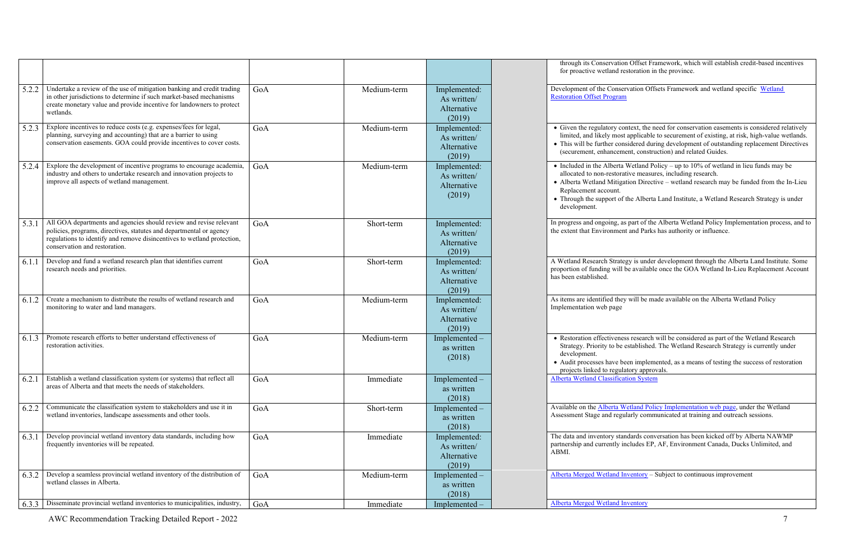through its Conservation Offset Framework, which will establish credit -based incentives land restoration in the province.

> Conservation Offsets Framework and wetland specific Wetland ogram

ory context, the need for conservation easements is considered relatively limited, and likely most applicable to securement of existing, at risk, high -value wetlands. er considered during development of outstanding replacement Directives ancement, construction) and related Guides.

• Included in the Alberta Wetland Policy – up to 10% of wetland in lieu funds may be estorative measures, including research.

• Alberta Wetland Mitigation Directive – wetland research may be funded from the In-Lieu ount.

ort of the Alberta Land Institute, a Wetland Research Strategy is under

ing, as part of the Alberta Wetland Policy Implementation process, and to onment and Parks has authority or influence.

Strategy is under development through the Alberta Land Institute. Some proportion of funding will be available once the GOA Wetland In -Lieu Replacement Account

> ed they will be made available on the Alberta Wetland Policy page

tiveness research will be considered as part of the Wetland Research to be established. The Wetland Research Strategy is currently under

have been implemented, as a means of testing the success of restoration regulatory approvals. sification System

erta Wetland Policy Implementation web page, under the Wetland d regularly communicated at training and outreach sessions.

ry standards conversation has been kicked off by Alberta NAWMP ntly includes EP, AF, Environment Canada, Ducks Unlimited, and

[Alberta Merged Wetland Inventory](http://aep.alberta.ca/forms-maps-services/maps/resource-data-product-catalogue/biophysical.aspx) - Subject to continuous improvement

and Inventory

|       |                                                                                                                                                                                                                                                       |     |             |                                                      | through its Conser<br>for proactive wetla                                                                                     |
|-------|-------------------------------------------------------------------------------------------------------------------------------------------------------------------------------------------------------------------------------------------------------|-----|-------------|------------------------------------------------------|-------------------------------------------------------------------------------------------------------------------------------|
| 5.2.2 | Undertake a review of the use of mitigation banking and credit trading<br>in other jurisdictions to determine if such market-based mechanisms<br>create monetary value and provide incentive for landowners to protect<br>wetlands.                   | GoA | Medium-term | Implemented:<br>As written/<br>Alternative<br>(2019) | Development of the C<br><b>Restoration Offset Pro</b>                                                                         |
| 5.2.3 | Explore incentives to reduce costs (e.g. expenses/fees for legal,<br>planning, surveying and accounting) that are a barrier to using<br>conservation easements. GOA could provide incentives to cover costs.                                          | GoA | Medium-term | Implemented:<br>As written/<br>Alternative<br>(2019) | • Given the regulate<br>limited, and likely<br>• This will be furthe<br>(securement, enha                                     |
| 5.2.4 | Explore the development of incentive programs to encourage academia,<br>industry and others to undertake research and innovation projects to<br>improve all aspects of wetland management.                                                            | GoA | Medium-term | Implemented:<br>As written/<br>Alternative<br>(2019) | • Included in the Al<br>allocated to non-re<br>· Alberta Wetland M<br>Replacement acco<br>• Through the suppo<br>development. |
| 5.3.1 | All GOA departments and agencies should review and revise relevant<br>policies, programs, directives, statutes and departmental or agency<br>regulations to identify and remove disincentives to wetland protection,<br>conservation and restoration. | GoA | Short-term  | Implemented:<br>As written/<br>Alternative<br>(2019) | In progress and ongoi<br>the extent that Enviro                                                                               |
| 6.1.1 | Develop and fund a wetland research plan that identifies current<br>research needs and priorities.                                                                                                                                                    | GoA | Short-term  | Implemented:<br>As written/<br>Alternative<br>(2019) | A Wetland Research :<br>proportion of funding<br>has been established.                                                        |
| 6.1.2 | Create a mechanism to distribute the results of wetland research and<br>monitoring to water and land managers.                                                                                                                                        | GoA | Medium-term | Implemented:<br>As written/<br>Alternative<br>(2019) | As items are identified<br>Implementation web 1                                                                               |
| 6.1.3 | Promote research efforts to better understand effectiveness of<br>restoration activities.                                                                                                                                                             | GoA | Medium-term | Implemented-<br>as written<br>(2018)                 | • Restoration effecti<br>Strategy. Priority t<br>development.<br>• Audit processes ha<br>projects linked to                   |
| 6.2.1 | Establish a wetland classification system (or systems) that reflect all<br>areas of Alberta and that meets the needs of stakeholders.                                                                                                                 | GoA | Immediate   | Implemented-<br>as written<br>(2018)                 | <b>Alberta Wetland Clas</b>                                                                                                   |
| 6.2.2 | Communicate the classification system to stakeholders and use it in<br>wetland inventories, landscape assessments and other tools.                                                                                                                    | GoA | Short-term  | Implemented-<br>as written<br>(2018)                 | Available on the Albe<br>Assessment Stage and                                                                                 |
| 6.3.1 | Develop provincial wetland inventory data standards, including how<br>frequently inventories will be repeated.                                                                                                                                        | GoA | Immediate   | Implemented:<br>As written/<br>Alternative<br>(2019) | The data and inventor<br>partnership and currer<br>ABMI.                                                                      |
| 6.3.2 | Develop a seamless provincial wetland inventory of the distribution of<br>wetland classes in Alberta.                                                                                                                                                 | GoA | Medium-term | Implemented -<br>as written<br>(2018)                | Alberta Merged Wetla                                                                                                          |
| 6.3.3 | Disseminate provincial wetland inventories to municipalities, industry,                                                                                                                                                                               | GoA | Immediate   | Implemented                                          | Alberta Merged Wetla                                                                                                          |

AWC Recommendation Tracking Detailed Report - 2022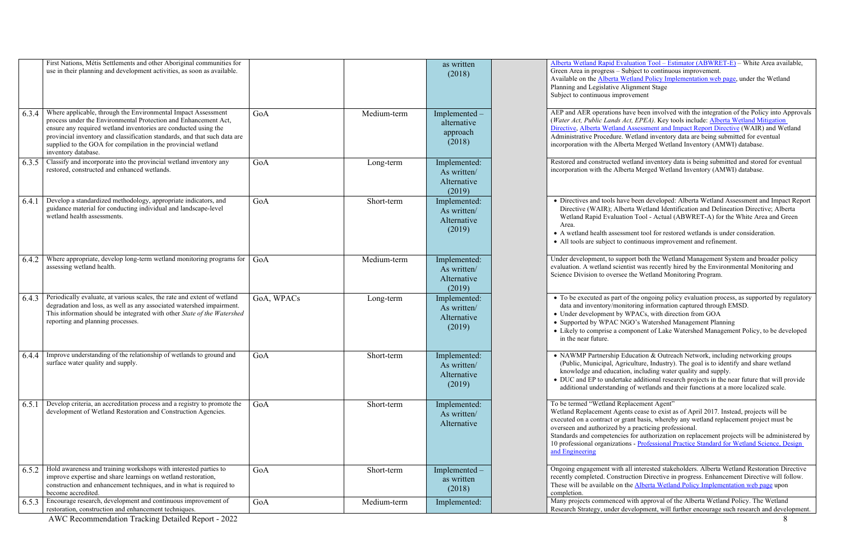[Alberta Wetland Rapid Evaluation Tool](http://geodiscover.alberta.ca/Viewer/?Viewer=GDA) – Estimator (ABWRET-E) – White Area available, – Subject to continuous improvement.

ta Wetland Policy Implementation web page, under the Wetland ve Alignment Stage

mprovement

AER operations have been involved with the in[tegration of the Policy into Approvals](http://aep.alberta.ca/water/programs-and-services/wetlands/documents/AlbertaWetlandMitigationDirective-Jul2016.pdf) *ds Act, EPEA*). Key tools include: <u>Alberta Wetland Mitigation</u> land Assessment and Impact Report Directive (WAIR) and Wetland are. Wetland inventory data are being submitted for eventual Alberta Merged Wetland Inventory (AMWI) database.

ed wetland inventory data is being submitted and stored for eventual Alberta Merged Wetland Inventory (AMWI) database.

have been developed: Alberta Wetland Assessment and Impact Report Alberta Wetland Identification and Delineation Directive; Alberta Wetland Rapid Evaluation Tool - Actual (ABWRET-A) for the White Area and Green

> sessment tool for restored wetlands is under consideration. to continuous improvement and refinement.

support both the Wetland Management System and broader policy scientist was recently hired by the Environmental Monitoring and ersee the Wetland Monitoring Program.

art of the ongoing policy evaluation process, as supported by regulatory nonitoring information captured through EMSD.

by WPACs, with direction from GOA

C NGO's Watershed Management Planning

e component of Lake Watershed Management Policy, to be developed

ip Education & Outreach Network, including networking groups Agriculture, Industry). The goal is to identify and share wetland cation, including water quality and supply.

ertake additional research projects in the near future that will provide ading of wetlands and their functions at a more localized scale.

Replacement Agent"

Agents cease to exist as of April 2017. Instead, projects will be or grant basis, whereby any wetland replacement project must be d by a practicing professional.

ncies for authorization on replacement projects will be administered by 10 professional organizations - Professional Practice Standard for Wetland Science, Design

> vith all interested stakeholders. Alberta Wetland Restoration Directive nstruction Directive in progress. Enhancement Directive will follow. on th[e Alberta Wetland Policy Implementation web page](http://aep.alberta.ca/water/programs-and-services/wetlands/alberta-wetland-policy-implementation.aspx) upon

reed with approval of the Alberta Wetland Policy. The Wetland er development, will further encourage such research and development.

|       | First Nations, Métis Settlements and other Aboriginal communities for<br>use in their planning and development activities, as soon as available.                                                                                                                                                                                                                         |            |             | as written<br>(2018)                                 | <b>Alberta Wetland Rapid</b><br>Green Area in progress<br>Available on the <b>Albert</b><br>Planning and Legislativ<br>Subject to continuous in                                |
|-------|--------------------------------------------------------------------------------------------------------------------------------------------------------------------------------------------------------------------------------------------------------------------------------------------------------------------------------------------------------------------------|------------|-------------|------------------------------------------------------|--------------------------------------------------------------------------------------------------------------------------------------------------------------------------------|
| 6.3.4 | Where applicable, through the Environmental Impact Assessment<br>process under the Environmental Protection and Enhancement Act,<br>ensure any required wetland inventories are conducted using the<br>provincial inventory and classification standards, and that such data are<br>supplied to the GOA for compilation in the provincial wetland<br>inventory database. | GoA        | Medium-term | Implemented -<br>alternative<br>approach<br>(2018)   | AEP and AER operation<br>(Water Act, Public Land<br>Directive, Alberta Wetla<br>Administrative Procedu<br>incorporation with the A                                             |
| 6.3.5 | Classify and incorporate into the provincial wetland inventory any<br>restored, constructed and enhanced wetlands.                                                                                                                                                                                                                                                       | GoA        | Long-term   | Implemented:<br>As written/<br>Alternative<br>(2019) | Restored and constructe<br>incorporation with the A                                                                                                                            |
| 6.4.1 | Develop a standardized methodology, appropriate indicators, and<br>guidance material for conducting individual and landscape-level<br>wetland health assessments.                                                                                                                                                                                                        | GoA        | Short-term  | Implemented:<br>As written/<br>Alternative<br>(2019) | • Directives and tools<br>Directive (WAIR); /<br>Wetland Rapid Eval<br>Area.<br>• A wetland health ass<br>• All tools are subject                                              |
| 6.4.2 | Where appropriate, develop long-term wetland monitoring programs for<br>assessing wetland health.                                                                                                                                                                                                                                                                        | GoA        | Medium-term | Implemented:<br>As written/<br>Alternative<br>(2019) | Under development, to<br>evaluation. A wetland s<br>Science Division to ove                                                                                                    |
| 6.4.3 | Periodically evaluate, at various scales, the rate and extent of wetland<br>degradation and loss, as well as any associated watershed impairment.<br>This information should be integrated with other State of the Watershed<br>reporting and planning processes.                                                                                                        | GoA, WPACs | Long-term   | Implemented:<br>As written/<br>Alternative<br>(2019) | • To be executed as pa<br>data and inventory/n<br>• Under development<br>• Supported by WPA<br>• Likely to comprise a<br>in the near future.                                   |
| 6.4.4 | Improve understanding of the relationship of wetlands to ground and<br>surface water quality and supply.                                                                                                                                                                                                                                                                 | GoA        | Short-term  | Implemented:<br>As written/<br>Alternative<br>(2019) | · NAWMP Partnershi<br>(Public, Municipal,<br>knowledge and educ<br>• DUC and EP to unde<br>additional understan                                                                |
| 6.5.1 | Develop criteria, an accreditation process and a registry to promote the<br>development of Wetland Restoration and Construction Agencies.                                                                                                                                                                                                                                | GoA        | Short-term  | Implemented:<br>As written/<br>Alternative           | To be termed "Wetland<br>Wetland Replacement A<br>executed on a contract o<br>overseen and authorized<br>Standards and competer<br>10 professional organiza<br>and Engineering |
| 6.5.2 | Hold awareness and training workshops with interested parties to<br>improve expertise and share learnings on wetland restoration,<br>construction and enhancement techniques, and in what is required to<br>become accredited.                                                                                                                                           | GoA        | Short-term  | Implemented -<br>as written<br>(2018)                | Ongoing engagement w<br>recently completed. Cor<br>These will be available<br>completion.                                                                                      |
| 6.5.3 | Encourage research, development and continuous improvement of<br>restoration, construction and enhancement techniques.                                                                                                                                                                                                                                                   | GoA        | Medium-term | Implemented:                                         | Many projects commen<br>Research Strategy, unde                                                                                                                                |

AWC Recommendation Tracking Detailed Report - 2022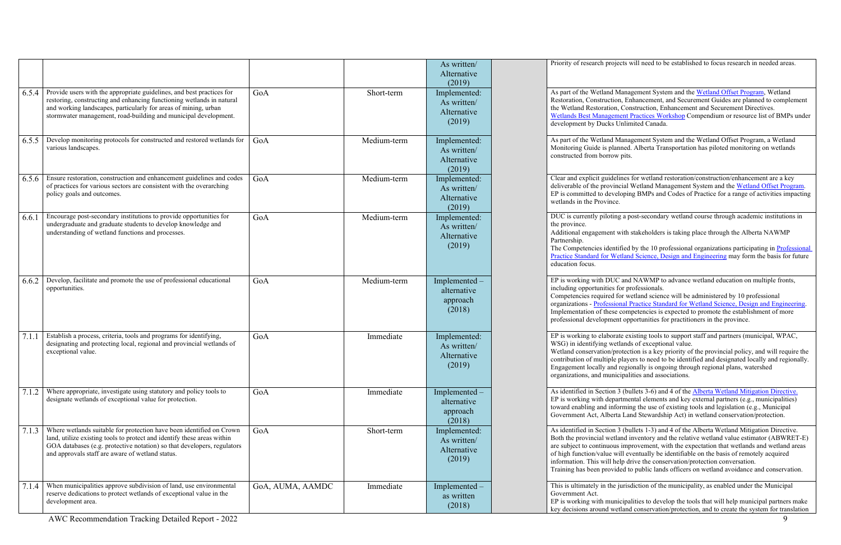|       |                                                                                                                                                                                                                                                                                      |                  |             | As written/<br>Alternative<br>(2019)                 | Priority of research project                                                                                                                                                 |
|-------|--------------------------------------------------------------------------------------------------------------------------------------------------------------------------------------------------------------------------------------------------------------------------------------|------------------|-------------|------------------------------------------------------|------------------------------------------------------------------------------------------------------------------------------------------------------------------------------|
| 6.5.4 | Provide users with the appropriate guidelines, and best practices for<br>restoring, constructing and enhancing functioning wetlands in natural<br>and working landscapes, particularly for areas of mining, urban<br>stormwater management, road-building and municipal development. | GoA              | Short-term  | Implemented:<br>As written/<br>Alternative<br>(2019) | As part of the Wetland M<br>Restoration, Construction<br>the Wetland Restoration,<br><b>Wetlands Best Managem</b><br>development by Ducks U                                  |
| 6.5.5 | Develop monitoring protocols for constructed and restored wetlands for<br>various landscapes.                                                                                                                                                                                        | GoA              | Medium-term | Implemented:<br>As written/<br>Alternative<br>(2019) | As part of the Wetland M<br>Monitoring Guide is plan<br>constructed from borrow                                                                                              |
| 6.5.6 | Ensure restoration, construction and enhancement guidelines and codes<br>of practices for various sectors are consistent with the overarching<br>policy goals and outcomes.                                                                                                          | GoA              | Medium-term | Implemented:<br>As written/<br>Alternative<br>(2019) | Clear and explicit guideli<br>deliverable of the provinc<br>EP is committed to devel<br>wetlands in the Province.                                                            |
| 6.6.1 | Encourage post-secondary institutions to provide opportunities for<br>undergraduate and graduate students to develop knowledge and<br>understanding of wetland functions and processes.                                                                                              | GoA              | Medium-term | Implemented:<br>As written/<br>Alternative<br>(2019) | DUC is currently piloting<br>the province.<br>Additional engagement w<br>Partnership.<br>The Competencies identi:<br>Practice Standard for We<br>education focus.            |
| 6.6.2 | Develop, facilitate and promote the use of professional educational<br>opportunities.                                                                                                                                                                                                | GoA              | Medium-term | Implemented -<br>alternative<br>approach<br>(2018)   | EP is working with DUC<br>including opportunities fo<br>Competencies required fo<br>organizations - Profession<br>Implementation of these<br>professional development        |
| 7.1.1 | Establish a process, criteria, tools and programs for identifying,<br>designating and protecting local, regional and provincial wetlands of<br>exceptional value.                                                                                                                    | GoA              | Immediate   | Implemented:<br>As written/<br>Alternative<br>(2019) | EP is working to elaborat<br>WSG) in identifying wetl<br>Wetland conservation/pro<br>contribution of multiple p<br>Engagement locally and a<br>organizations, and munic      |
| 7.1.2 | Where appropriate, investigate using statutory and policy tools to<br>designate wetlands of exceptional value for protection.                                                                                                                                                        | GoA              | Immediate   | Implemented<br>alternative<br>approach<br>(2018)     | As identified in Section 3<br>EP is working with depar<br>toward enabling and infor<br>Government Act, Alberta                                                               |
| 7.1.3 | Where wetlands suitable for protection have been identified on Crown<br>land, utilize existing tools to protect and identify these areas within<br>GOA databases (e.g. protective notation) so that developers, regulators<br>and approvals staff are aware of wetland status.       | GoA              | Short-term  | Implemented:<br>As written/<br>Alternative<br>(2019) | As identified in Section 3<br>Both the provincial wetla<br>are subject to continuous<br>of high function/value wi<br>information. This will hel<br>Training has been provide |
| 7.1.4 | When municipalities approve subdivision of land, use environmental<br>reserve dedications to protect wetlands of exceptional value in the<br>development area.                                                                                                                       | GoA, AUMA, AAMDC | Immediate   | Implemented<br>as written<br>(2018)                  | This is ultimately in the j<br>Government Act.<br>EP is working with munic<br>key decisions around wet                                                                       |

ects will need to be established to focus research in needed areas.

Ianagement System and the [Wetland Offset Program,](http://aep.alberta.ca/water/programs-and-services/wetlands/documents/WetlandOffsetProgramDescription-Sep2015.pdf) Wetland 1, Enhancement, and Securement Guides are planned to complement , Construction, Enhancement and Securement Directives. ent Practices Workshop Compendium or resource list of BMPs under Jnlimited Canada.

Aanagement System and the Wetland Offset Program, a Wetland nned. Alberta Transportation has piloted monitoring on wetlands pits.

ines for wetland restoration/construction/enhancement are a key cial Wetland Management System and th[e Wetland Offset Program.](http://aep.alberta.ca/water/programs-and-services/wetlands/documents/WetlandOffsetProgramDescription-Sep2015.pdf) loping BMPs and Codes of Practice for a range of activities impacting

a post-secondary wetland course through academic institutions in

with stakeholders is taking place through the Alberta NAWMP

The Competencies identified by the 10 professional organizations participating in Professional tland Science, Design and Engineering may form the basis for future

and NAWMP to advance wetland education on multiple fronts, ior professionals.

or wetland science will be administered by 10 professional nal Practice Standard for Wetland Science, Design and Engineering. competencies is expected to promote the establishment of more t opportunities for practitioners in the province.

te existing tools to support staff and partners (municipal, WPAC, lands of exceptional value.

otection is a key priority of the provincial policy, and will require the players to need to be identified and designated locally and regionally. regionally is ongoing through regional plans, watershed cipalities and associations.

 $\beta$  (bullets 3-6) and 4 of the [Alberta Wetland Mitigation Directive.](http://aep.alberta.ca/water/programs-and-services/wetlands/documents/AlbertaWetlandMitigationDirective-Jul2016.pdf) rtmental elements and key external partners (e.g., municipalities) towards and legislation (e.g., Municipal informing the use of existing tools and legislation (e.g., Municipal I Land Stewardship Act) in wetland conservation/protection.

 $\beta$  (bullets 1-3) and 4 of the [Alberta Wetland Mitigation Directive.](http://aep.alberta.ca/water/programs-and-services/wetlands/documents/AlbertaWetlandMitigationDirective-Jul2016.pdf) and inventory and the relative wetland value estimator (ABWRET-E) improvement, with the expectation that wetlands and wetland areas ill eventually be identifiable on the basis of remotely acquired lp drive the conservation/protection conversation. led to public lands officers on wetland avoidance and conservation.

jurisdiction of the municipality, as enabled under the Municipal

icipalities to develop the tools that will help municipal partners make tland conservation/protection, and to create the system for translation